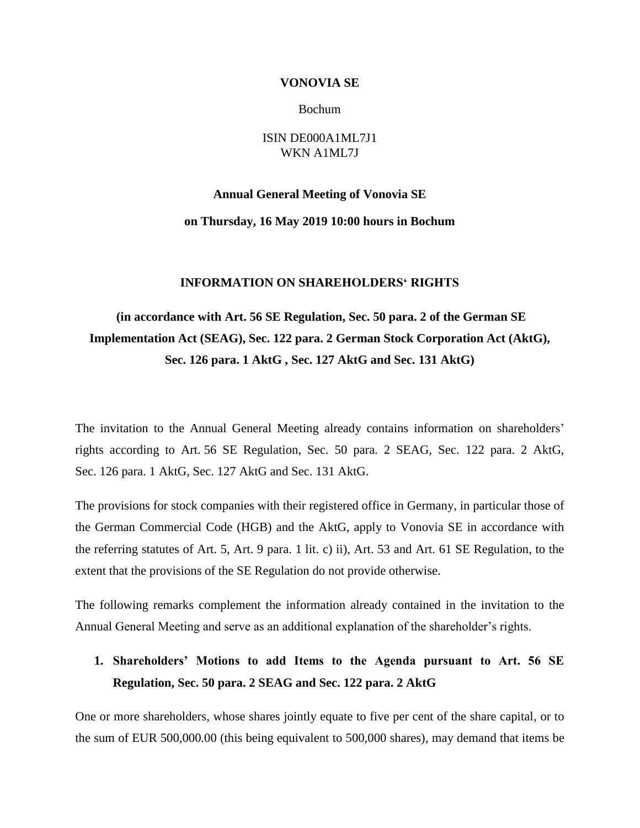#### **VONOVIA SE**

Bochum

### ISIN DE000A1ML7J1 WKN A1ML7J

#### **Annual General Meeting of Vonovia SE**

#### **on Thursday, 16 May 2019 10:00 hours in Bochum**

#### **INFORMATION ON SHAREHOLDERS' RIGHTS**

# **(in accordance with Art. 56 SE Regulation, Sec. 50 para. 2 of the German SE Implementation Act (SEAG), Sec. 122 para. 2 German Stock Corporation Act (AktG), Sec. 126 para. 1 AktG , Sec. 127 AktG and Sec. 131 AktG)**

The invitation to the Annual General Meeting already contains information on shareholders' rights according to Art. 56 SE Regulation, Sec. 50 para. 2 SEAG, Sec. 122 para. 2 AktG, Sec. 126 para. 1 AktG, Sec. 127 AktG and Sec. 131 AktG.

The provisions for stock companies with their registered office in Germany, in particular those of the German Commercial Code (HGB) and the AktG, apply to Vonovia SE in accordance with the referring statutes of Art. 5, Art. 9 para. 1 lit. c) ii), Art. 53 and Art. 61 SE Regulation, to the extent that the provisions of the SE Regulation do not provide otherwise.

The following remarks complement the information already contained in the invitation to the Annual General Meeting and serve as an additional explanation of the shareholder's rights.

# **1. Shareholders' Motions to add Items to the Agenda pursuant to Art. 56 SE Regulation, Sec. 50 para. 2 SEAG and Sec. 122 para. 2 AktG**

One or more shareholders, whose shares jointly equate to five per cent of the share capital, or to the sum of EUR 500,000.00 (this being equivalent to 500,000 shares), may demand that items be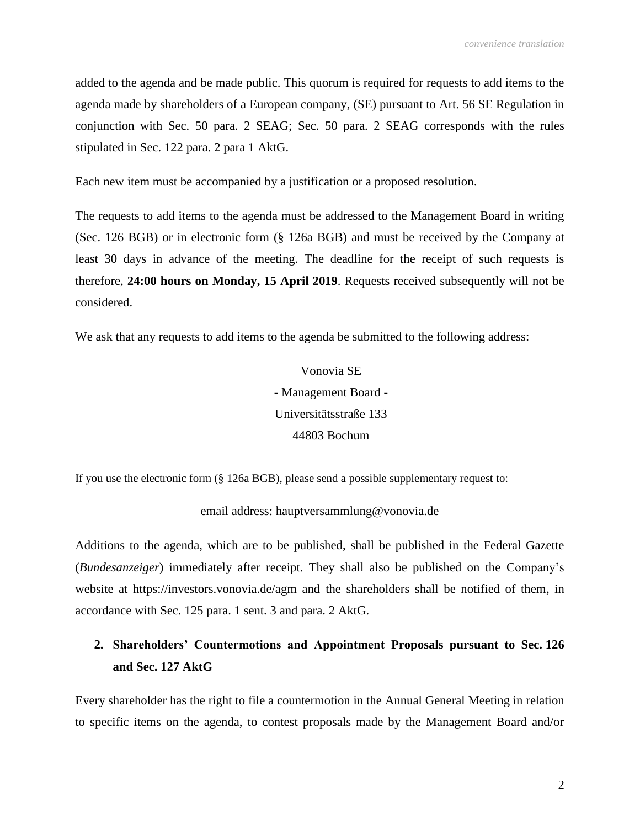added to the agenda and be made public. This quorum is required for requests to add items to the agenda made by shareholders of a European company, (SE) pursuant to Art. 56 SE Regulation in conjunction with Sec. 50 para. 2 SEAG; Sec. 50 para. 2 SEAG corresponds with the rules stipulated in Sec. 122 para. 2 para 1 AktG.

Each new item must be accompanied by a justification or a proposed resolution.

The requests to add items to the agenda must be addressed to the Management Board in writing (Sec. 126 BGB) or in electronic form (§ 126a BGB) and must be received by the Company at least 30 days in advance of the meeting. The deadline for the receipt of such requests is therefore, **24:00 hours on Monday, 15 April 2019**. Requests received subsequently will not be considered.

We ask that any requests to add items to the agenda be submitted to the following address:

Vonovia SE - Management Board - Universitätsstraße 133 44803 Bochum

If you use the electronic form (§ 126a BGB), please send a possible supplementary request to:

email address: hauptversammlung@vonovia.de

Additions to the agenda, which are to be published, shall be published in the Federal Gazette (*Bundesanzeiger*) immediately after receipt. They shall also be published on the Company's website at https://investors.vonovia.de/agm and the shareholders shall be notified of them, in accordance with Sec. 125 para. 1 sent. 3 and para. 2 AktG.

# **2. Shareholders' Countermotions and Appointment Proposals pursuant to Sec. 126 and Sec. 127 AktG**

Every shareholder has the right to file a countermotion in the Annual General Meeting in relation to specific items on the agenda, to contest proposals made by the Management Board and/or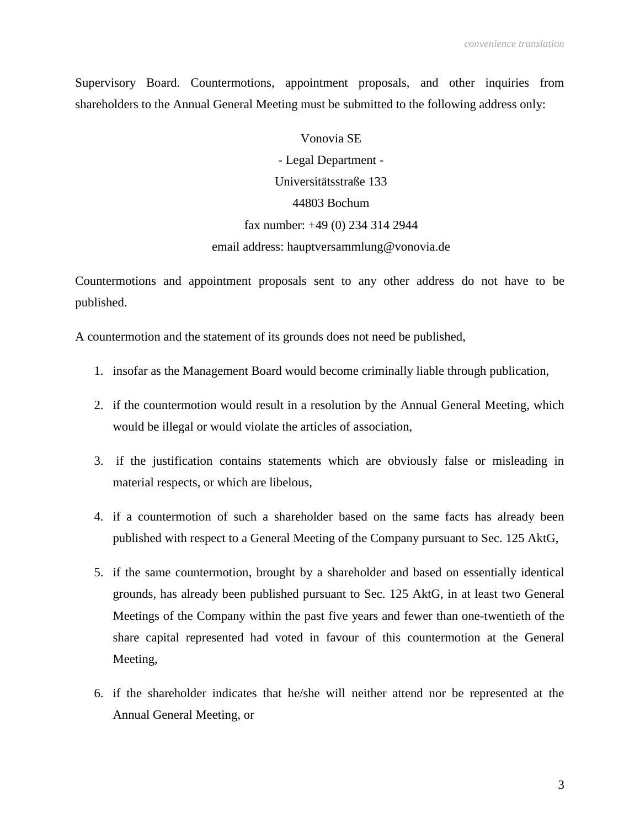Supervisory Board. Countermotions, appointment proposals, and other inquiries from shareholders to the Annual General Meeting must be submitted to the following address only:

> Vonovia SE - Legal Department - Universitätsstraße 133 44803 Bochum fax number: +49 (0) 234 314 2944 email address: hauptversammlung@vonovia.de

Countermotions and appointment proposals sent to any other address do not have to be published.

A countermotion and the statement of its grounds does not need be published,

- 1. insofar as the Management Board would become criminally liable through publication,
- 2. if the countermotion would result in a resolution by the Annual General Meeting, which would be illegal or would violate the articles of association,
- 3. if the justification contains statements which are obviously false or misleading in material respects, or which are libelous,
- 4. if a countermotion of such a shareholder based on the same facts has already been published with respect to a General Meeting of the Company pursuant to Sec. 125 AktG,
- 5. if the same countermotion, brought by a shareholder and based on essentially identical grounds, has already been published pursuant to Sec. 125 AktG, in at least two General Meetings of the Company within the past five years and fewer than one-twentieth of the share capital represented had voted in favour of this countermotion at the General Meeting,
- 6. if the shareholder indicates that he/she will neither attend nor be represented at the Annual General Meeting, or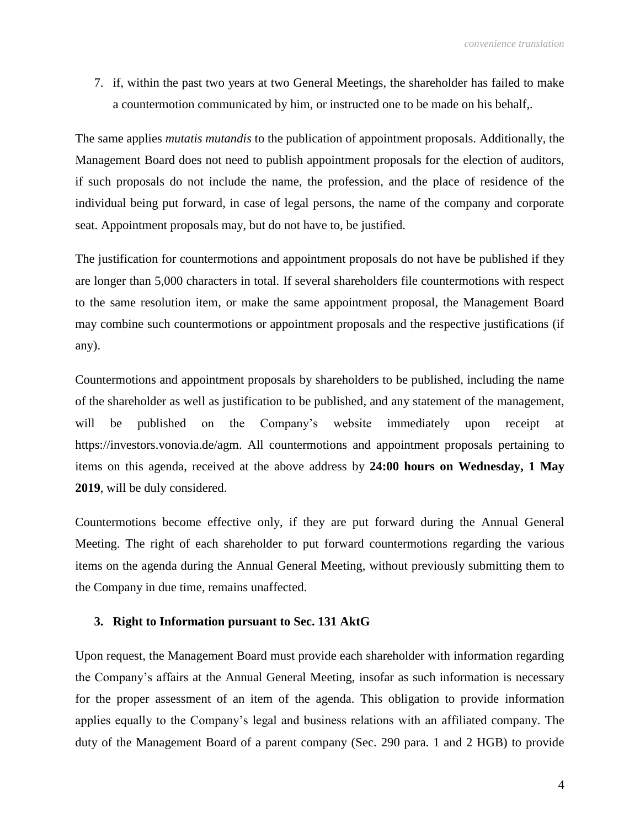7. if, within the past two years at two General Meetings, the shareholder has failed to make a countermotion communicated by him, or instructed one to be made on his behalf,.

The same applies *mutatis mutandis* to the publication of appointment proposals. Additionally, the Management Board does not need to publish appointment proposals for the election of auditors, if such proposals do not include the name, the profession, and the place of residence of the individual being put forward, in case of legal persons, the name of the company and corporate seat. Appointment proposals may, but do not have to, be justified.

The justification for countermotions and appointment proposals do not have be published if they are longer than 5,000 characters in total. If several shareholders file countermotions with respect to the same resolution item, or make the same appointment proposal, the Management Board may combine such countermotions or appointment proposals and the respective justifications (if any).

Countermotions and appointment proposals by shareholders to be published, including the name of the shareholder as well as justification to be published, and any statement of the management, will be published on the Company's website immediately upon receipt at https://investors.vonovia.de/agm. All countermotions and appointment proposals pertaining to items on this agenda, received at the above address by **24:00 hours on Wednesday, 1 May 2019**, will be duly considered.

Countermotions become effective only, if they are put forward during the Annual General Meeting. The right of each shareholder to put forward countermotions regarding the various items on the agenda during the Annual General Meeting, without previously submitting them to the Company in due time, remains unaffected.

### **3. Right to Information pursuant to Sec. 131 AktG**

Upon request, the Management Board must provide each shareholder with information regarding the Company's affairs at the Annual General Meeting, insofar as such information is necessary for the proper assessment of an item of the agenda. This obligation to provide information applies equally to the Company's legal and business relations with an affiliated company. The duty of the Management Board of a parent company (Sec. 290 para. 1 and 2 HGB) to provide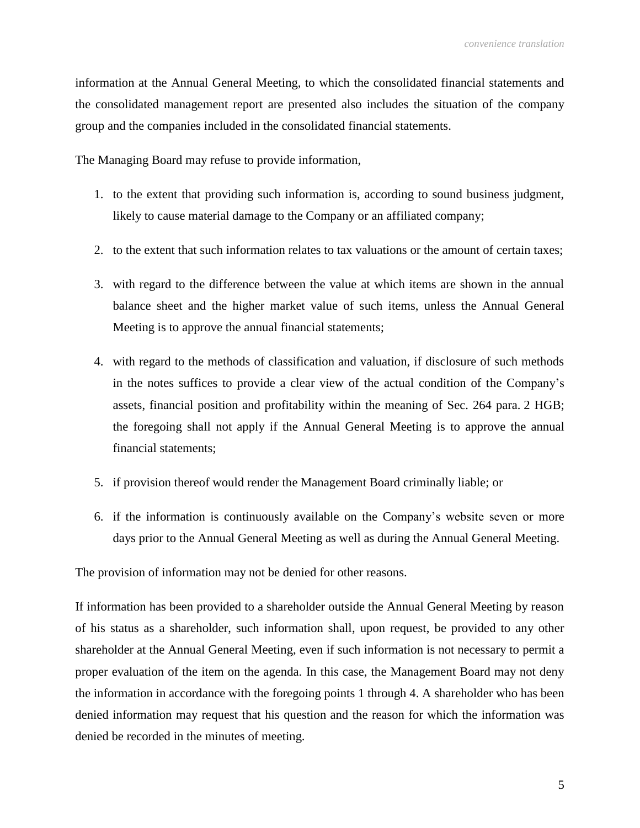information at the Annual General Meeting, to which the consolidated financial statements and the consolidated management report are presented also includes the situation of the company group and the companies included in the consolidated financial statements.

The Managing Board may refuse to provide information,

- 1. to the extent that providing such information is, according to sound business judgment, likely to cause material damage to the Company or an affiliated company;
- 2. to the extent that such information relates to tax valuations or the amount of certain taxes;
- 3. with regard to the difference between the value at which items are shown in the annual balance sheet and the higher market value of such items, unless the Annual General Meeting is to approve the annual financial statements;
- 4. with regard to the methods of classification and valuation, if disclosure of such methods in the notes suffices to provide a clear view of the actual condition of the Company's assets, financial position and profitability within the meaning of Sec. 264 para. 2 HGB; the foregoing shall not apply if the Annual General Meeting is to approve the annual financial statements;
- 5. if provision thereof would render the Management Board criminally liable; or
- 6. if the information is continuously available on the Company's website seven or more days prior to the Annual General Meeting as well as during the Annual General Meeting.

The provision of information may not be denied for other reasons.

If information has been provided to a shareholder outside the Annual General Meeting by reason of his status as a shareholder, such information shall, upon request, be provided to any other shareholder at the Annual General Meeting, even if such information is not necessary to permit a proper evaluation of the item on the agenda. In this case, the Management Board may not deny the information in accordance with the foregoing points 1 through 4. A shareholder who has been denied information may request that his question and the reason for which the information was denied be recorded in the minutes of meeting.